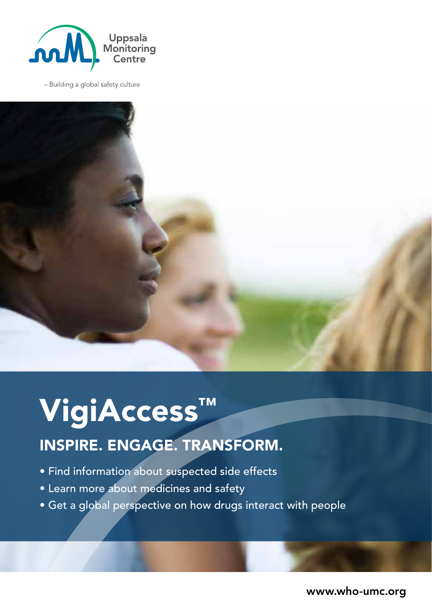

- Building a global safety culture



## VigiAccess™

## INSPIRE. ENGAGE. TRANSFORM.

- Find information about suspected side effects
- Learn more about medicines and safety
- Get a global perspective on how drugs interact with people

www.who-umc.org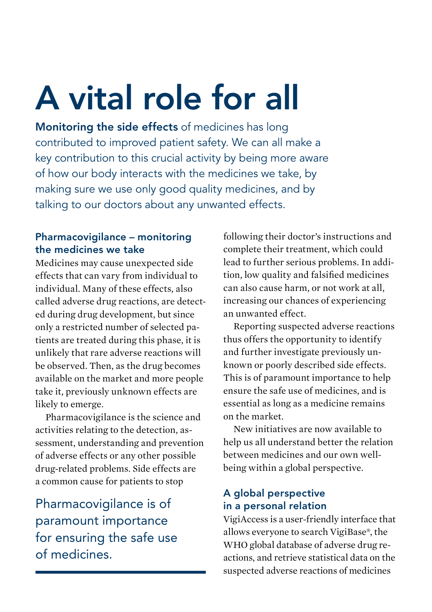# A vital role for all

Monitoring the side effects of medicines has long contributed to improved patient safety. We can all make a key contribution to this crucial activity by being more aware of how our body interacts with the medicines we take, by making sure we use only good quality medicines, and by talking to our doctors about any unwanted effects.

#### Pharmacovigilance – monitoring the medicines we take

Medicines may cause unexpected side effects that can vary from individual to individual. Many of these effects, also called adverse drug reactions, are detected during drug development, but since only a restricted number of selected patients are treated during this phase, it is unlikely that rare adverse reactions will be observed. Then, as the drug becomes available on the market and more people take it, previously unknown effects are likely to emerge.

Pharmacovigilance is the science and activities relating to the detection, assessment, understanding and prevention of adverse effects or any other possible drug-related problems. Side effects are a common cause for patients to stop

Pharmacovigilance is of paramount importance for ensuring the safe use of medicines.

following their doctor's instructions and complete their treatment, which could lead to further serious problems. In addition, low quality and falsified medicines can also cause harm, or not work at all, increasing our chances of experiencing an unwanted effect.

Reporting suspected adverse reactions thus offers the opportunity to identify and further investigate previously unknown or poorly described side effects. This is of paramount importance to help ensure the safe use of medicines, and is essential as long as a medicine remains on the market.

New initiatives are now available to help us all understand better the relation between medicines and our own wellbeing within a global perspective.

#### A global perspective in a personal relation

VigiAccess is a user-friendly interface that allows everyone to search VigiBase®, the WHO global database of adverse drug reactions, and retrieve statistical data on the suspected adverse reactions of medicines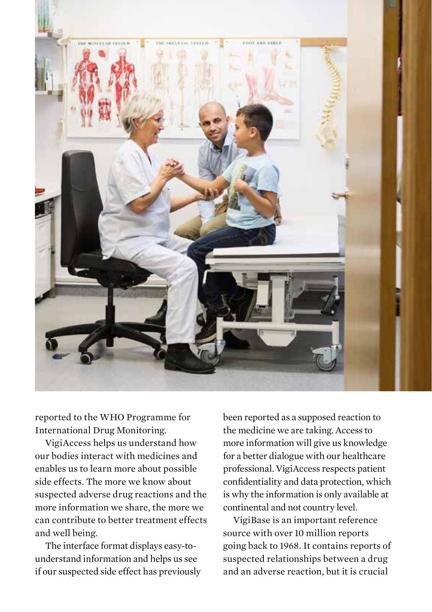

reported to the WHO Programme for International Drug Monitoring.

VigiAccess helps us understand how our bodies interact with medicines and enables us to learn more about possible side effects. The more we know about suspected adverse drug reactions and the more information we share, the more we can contribute to better treatment effects and well being.

The interface format displays easy-tounderstand information and helps us see if our suspected side effect has previously been reported as a supposed reaction to the medicine we are taking. Access to more information will give us knowledge for a better dialogue with our healthcare professional. VigiAccess respects patient confidentiality and data protection, which is why the information is only available at continental and not country level.

VigiBase is an important reference source with over 10 million reports going back to 1968. It contains reports of suspected relationships between a drug and an adverse reaction, but it is crucial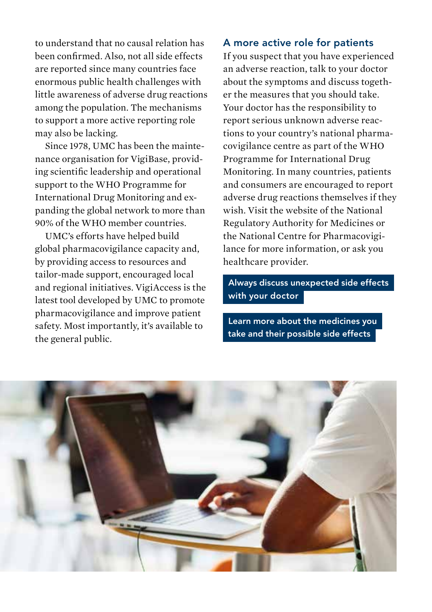to understand that no causal relation has been confirmed. Also, not all side effects are reported since many countries face enormous public health challenges with little awareness of adverse drug reactions among the population. The mechanisms to support a more active reporting role may also be lacking.

Since 1978, UMC has been the maintenance organisation for VigiBase, providing scientific leadership and operational support to the WHO Programme for International Drug Monitoring and expanding the global network to more than 90% of the WHO member countries.

UMC's efforts have helped build global pharmacovigilance capacity and, by providing access to resources and tailor-made support, encouraged local and regional initiatives. VigiAccess is the latest tool developed by UMC to promote pharmacovigilance and improve patient safety. Most importantly, it's available to the general public.

#### A more active role for patients

If you suspect that you have experienced an adverse reaction, talk to your doctor about the symptoms and discuss together the measures that you should take. Your doctor has the responsibility to report serious unknown adverse reactions to your country's national pharmacovigilance centre as part of the WHO Programme for International Drug Monitoring. In many countries, patients and consumers are encouraged to report adverse drug reactions themselves if they wish. Visit the website of the National Regulatory Authority for Medicines or the National Centre for Pharmacovigilance for more information, or ask you healthcare provider.

 Always discuss unexpected side effects with your doctor

 Learn more about the medicines you take and their possible side effects

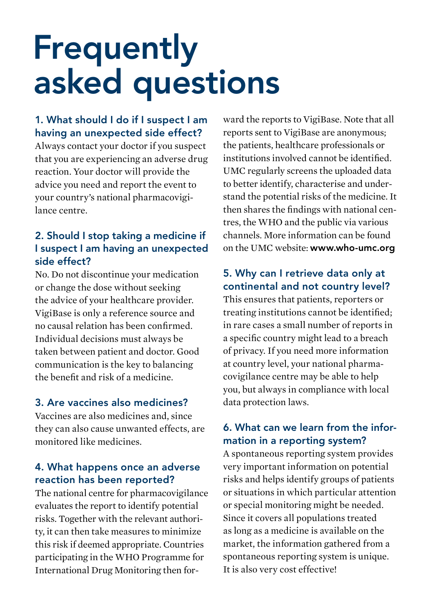## **Frequently** asked questions

### 1. What should I do if I suspect I am having an unexpected side effect?

Always contact your doctor if you suspect that you are experiencing an adverse drug reaction. Your doctor will provide the advice you need and report the event to your country's national pharmacovigilance centre.

### 2. Should I stop taking a medicine if I suspect I am having an unexpected side effect?

No. Do not discontinue your medication or change the dose without seeking the advice of your healthcare provider. VigiBase is only a reference source and no causal relation has been confirmed. Individual decisions must always be taken between patient and doctor. Good communication is the key to balancing the benefit and risk of a medicine.

#### 3. Are vaccines also medicines?

Vaccines are also medicines and, since they can also cause unwanted effects, are monitored like medicines.

#### 4. What happens once an adverse reaction has been reported?

The national centre for pharmacovigilance evaluates the report to identify potential risks. Together with the relevant authority, it can then take measures to minimize this risk if deemed appropriate. Countries participating in the WHO Programme for International Drug Monitoring then forward the reports to VigiBase. Note that all reports sent to VigiBase are anonymous; the patients, healthcare professionals or institutions involved cannot be identified. UMC regularly screens the uploaded data to better identify, characterise and understand the potential risks of the medicine. It then shares the findings with national centres, the WHO and the public via various channels. More information can be found on the UMC website: www.who-umc.org

### 5. Why can I retrieve data only at continental and not country level?

This ensures that patients, reporters or treating institutions cannot be identified; in rare cases a small number of reports in a specific country might lead to a breach of privacy. If you need more information at country level, your national pharmacovigilance centre may be able to help you, but always in compliance with local data protection laws.

#### 6. What can we learn from the information in a reporting system?

A spontaneous reporting system provides very important information on potential risks and helps identify groups of patients or situations in which particular attention or special monitoring might be needed. Since it covers all populations treated as long as a medicine is available on the market, the information gathered from a spontaneous reporting system is unique. It is also very cost effective!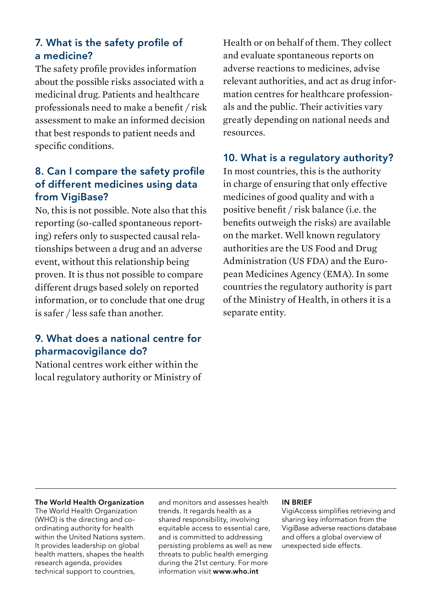#### 7. What is the safety profile of a medicine?

The safety profile provides information about the possible risks associated with a medicinal drug. Patients and healthcare professionals need to make a benefit / risk assessment to make an informed decision that best responds to patient needs and specific conditions.

#### 8. Can I compare the safety profile of different medicines using data from VigiBase?

No, this is not possible. Note also that this reporting (so-called spontaneous reporting) refers only to suspected causal relationships between a drug and an adverse event, without this relationship being proven. It is thus not possible to compare different drugs based solely on reported information, or to conclude that one drug is safer / less safe than another.

#### 9. What does a national centre for pharmacovigilance do?

National centres work either within the local regulatory authority or Ministry of Health or on behalf of them. They collect and evaluate spontaneous reports on adverse reactions to medicines, advise relevant authorities, and act as drug information centres for healthcare professionals and the public. Their activities vary greatly depending on national needs and resources.

#### 10. What is a regulatory authority?

In most countries, this is the authority in charge of ensuring that only effective medicines of good quality and with a positive benefit / risk balance (i.e. the benefits outweigh the risks) are available on the market. Well known regulatory authorities are the US Food and Drug Administration (US FDA) and the European Medicines Agency (EMA). In some countries the regulatory authority is part of the Ministry of Health, in others it is a separate entity.

#### The World Health Organization

The World Health Organization (WHO) is the directing and coordinating authority for health within the United Nations system. It provides leadership on global health matters, shapes the health research agenda, provides technical support to countries,

and monitors and assesses health trends. It regards health as a shared responsibility, involving equitable access to essential care, and is committed to addressing persisting problems as well as new threats to public health emerging during the 21st century. For more information visit www.who.int

#### IN BRIEF

VigiAccess simplifies retrieving and sharing key information from the VigiBase adverse reactions database and offers a global overview of unexpected side effects.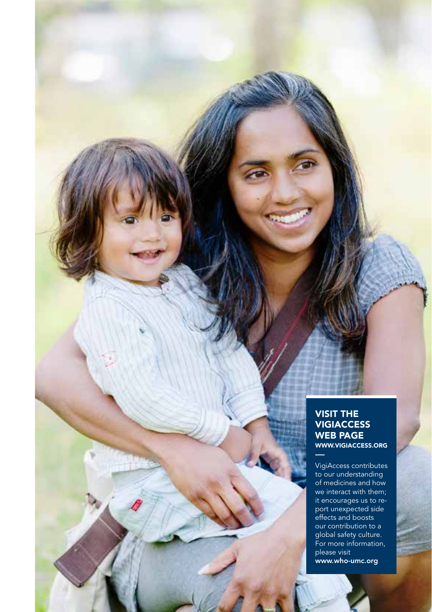#### VISIT THE **VIGIACCESS** WEB PAGE WWW.VIGIACCESS.ORG

法科 開設のよ

世田

**Britain** 

 $\sim$ 

VigiAccess contributes to our understanding of medicines and how we interact with them; it encourages us to report unexpected side effects and boosts our contribution to a global safety culture. For more information, please visit www.who-umc.org